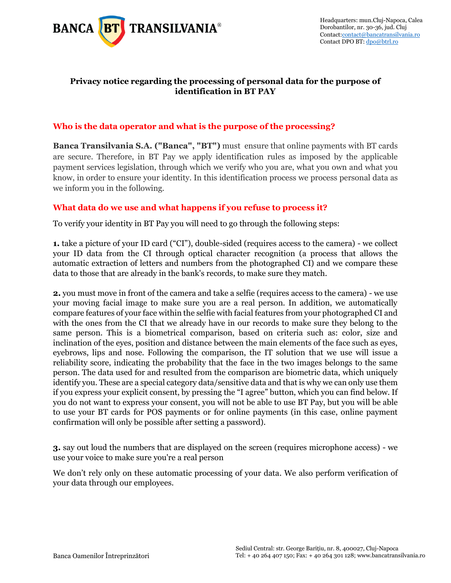

## Privacy notice regarding the processing of personal data for the purpose of [contact@bancatransilvania.ro](mailto:contact@bancatransilvania.ro) Contact **identification in BT PAY**

## **Who is the data operator and what is the purpose of the processing?**

**Banca Transilvania S.A. ("Banca", "BT")** must ensure that online payments with BT cards are secure. Therefore, in BT Pay we apply identification rules as imposed by the applicable payment services legislation, through which we verify who you are, what you own and what you know, in order to ensure your identity. In this identification process we process personal data as we inform you in the following.

## **What data do we use and what happens if you refuse to process it?**

To verify your identity in BT Pay you will need to go through the following steps:

**1.** take a picture of your ID card ("CI"), double-sided (requires access to the camera) - we collect your ID data from the CI through optical character recognition (a process that allows the automatic extraction of letters and numbers from the photographed CI) and we compare these data to those that are already in the bank's records, to make sure they match.

**2.** you must move in front of the camera and take a selfie (requires access to the camera) - we use your moving facial image to make sure you are a real person. In addition, we automatically compare features of your face within the selfie with facial features from your photographed CI and with the ones from the CI that we already have in our records to make sure they belong to the same person. This is a biometrical comparison, based on criteria such as: color, size and inclination of the eyes, position and distance between the main elements of the face such as eyes, eyebrows, lips and nose. Following the comparison, the IT solution that we use will issue a reliability score, indicating the probability that the face in the two images belongs to the same person. The data used for and resulted from the comparison are biometric data, which uniquely identify you. These are a special category data/sensitive data and that is why we can only use them if you express your explicit consent, by pressing the "I agree" button, which you can find below. If you do not want to express your consent, you will not be able to use BT Pay, but you will be able to use your BT cards for POS payments or for online payments (in this case, online payment confirmation will only be possible after setting a password).

**3.** say out loud the numbers that are displayed on the screen (requires microphone access) - we use your voice to make sure you're a real person

We don't rely only on these automatic processing of your data. We also perform verification of your data through our employees.